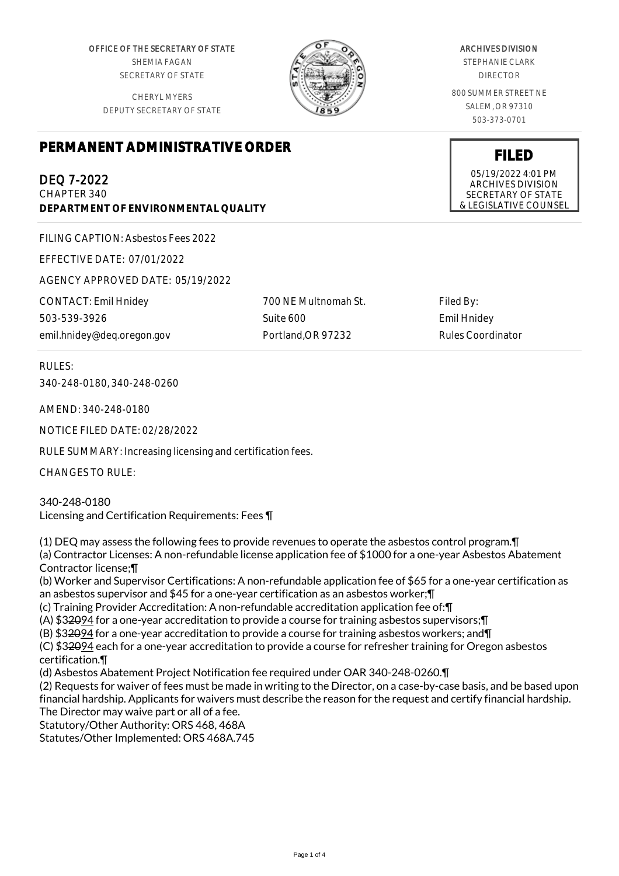OFFICE OF THE SECRETARY OF STATE SHEMIA FAGAN SECRETARY OF STATE

CHERYL MYERS DEPUTY SECRETARY OF STATE



#### ARCHIVES DIVISION

STEPHANIE CLARK DIRECTOR

800 SUMMER STREET NE SALEM, OR 97310 503-373-0701

**FILED** 05/19/2022 4:01 PM ARCHIVES DIVISION SECRETARY OF STATE & LEGISLATIVE COUNSEL

# **PERMANENT ADMINISTRATIVE ORDER**

## DEQ 7-2022

CHAPTER 340 **DEPARTMENT OF ENVIRONMENTAL QUALITY**

FILING CAPTION: Asbestos Fees 2022

EFFECTIVE DATE: 07/01/2022

AGENCY APPROVED DATE: 05/19/2022

CONTACT: Emil Hnidey 503-539-3926 emil.hnidey@deq.oregon.gov 700 NE Multnomah St. Suite 600 Portland,OR 97232

Filed By: Emil Hnidey Rules Coordinator

RULES:

340-248-0180, 340-248-0260

AMEND: 340-248-0180

NOTICE FILED DATE: 02/28/2022

RULE SUMMARY: Increasing licensing and certification fees.

CHANGES TO RULE:

340-248-0180 Licensing and Certification Requirements: Fees ¶

(1) DEQ may assess the following fees to provide revenues to operate the asbestos control program.¶ (a) Contractor Licenses: A non-refundable license application fee of \$1000 for a one-year Asbestos Abatement Contractor license;¶ (b) Worker and Supervisor Certifications: A non-refundable application fee of \$65 for a one-year certification as an asbestos supervisor and \$45 for a one-year certification as an asbestos worker;¶ (c) Training Provider Accreditation: A non-refundable accreditation application fee of:¶ (A) \$32094 for a one-year accreditation to provide a course for training asbestos supervisors;¶ (B) \$32094 for a one-year accreditation to provide a course for training asbestos workers; and¶ (C) \$32094 each for a one-year accreditation to provide a course for refresher training for Oregon asbestos certification.¶ (d) Asbestos Abatement Project Notification fee required under OAR 340-248-0260.¶ (2) Requests for waiver of fees must be made in writing to the Director, on a case-by-case basis, and be based upon financial hardship. Applicants for waivers must describe the reason for the request and certify financial hardship. The Director may waive part or all of a fee. Statutory/Other Authority: ORS 468, 468A Statutes/Other Implemented: ORS 468A.745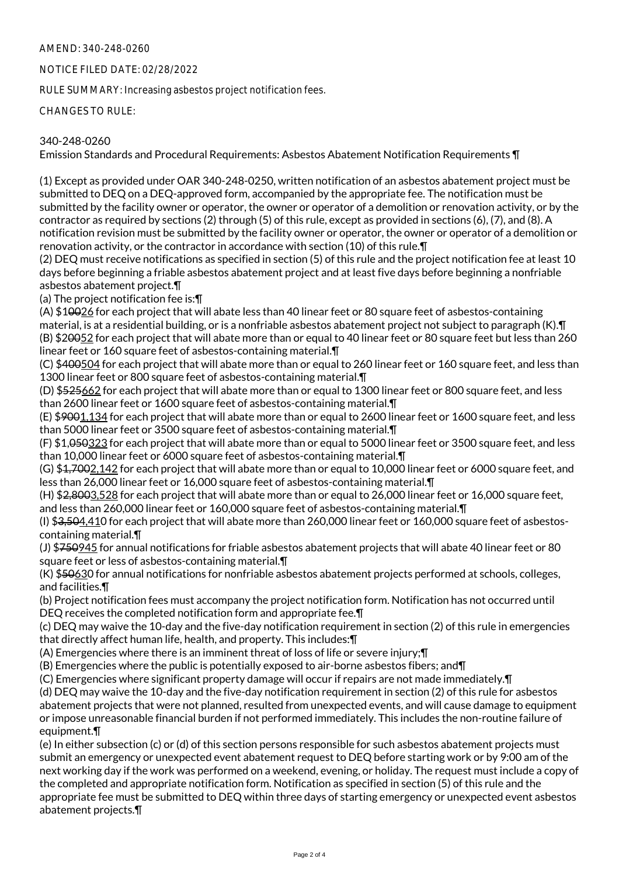### AMEND: 340-248-0260

#### NOTICE FILED DATE: 02/28/2022

RULE SUMMARY: Increasing asbestos project notification fees.

CHANGES TO RULE:

#### 340-248-0260

Emission Standards and Procedural Requirements: Asbestos Abatement Notification Requirements ¶

(1) Except as provided under OAR 340-248-0250, written notification of an asbestos abatement project must be submitted to DEQ on a DEQ-approved form, accompanied by the appropriate fee. The notification must be submitted by the facility owner or operator, the owner or operator of a demolition or renovation activity, or by the contractor as required by sections (2) through (5) of this rule, except as provided in sections (6), (7), and (8). A notification revision must be submitted by the facility owner or operator, the owner or operator of a demolition or renovation activity, or the contractor in accordance with section (10) of this rule.¶

(2) DEQ must receive notifications as specified in section (5) of this rule and the project notification fee at least 10 days before beginning a friable asbestos abatement project and at least five days before beginning a nonfriable asbestos abatement project.¶

(a) The project notification fee is:¶

(A) \$10026 for each project that will abate less than 40 linear feet or 80 square feet of asbestos-containing material, is at a residential building, or is a nonfriable asbestos abatement project not subject to paragraph (K).¶ (B) \$20052 for each project that will abate more than or equal to 40 linear feet or 80 square feet but less than 260 linear feet or 160 square feet of asbestos-containing material.¶

(C) \$400504 for each project that will abate more than or equal to 260 linear feet or 160 square feet, and less than 1300 linear feet or 800 square feet of asbestos-containing material. T

(D) \$525662 for each project that will abate more than or equal to 1300 linear feet or 800 square feet, and less than 2600 linear feet or 1600 square feet of asbestos-containing material.¶

(E) \$9001,134 for each project that will abate more than or equal to 2600 linear feet or 1600 square feet, and less than 5000 linear feet or 3500 square feet of asbestos-containing material.¶

(F) \$1,050323 for each project that will abate more than or equal to 5000 linear feet or 3500 square feet, and less than 10,000 linear feet or 6000 square feet of asbestos-containing material.¶

(G) \$4,7002,142 for each project that will abate more than or equal to 10,000 linear feet or 6000 square feet, and less than 26,000 linear feet or 16,000 square feet of asbestos-containing material.¶

(H) \$2,8003,528 for each project that will abate more than or equal to 26,000 linear feet or 16,000 square feet, and less than 260,000 linear feet or 160,000 square feet of asbestos-containing material.¶

(I) \$3,504,410 for each project that will abate more than 260,000 linear feet or 160,000 square feet of asbestoscontaining material.¶

(J) \$750945 for annual notifications for friable asbestos abatement projects that will abate 40 linear feet or 80 square feet or less of asbestos-containing material.¶

(K) \$50630 for annual notifications for nonfriable asbestos abatement projects performed at schools, colleges, and facilities.¶

(b) Project notification fees must accompany the project notification form. Notification has not occurred until DEQ receives the completed notification form and appropriate fee.¶

(c) DEQ may waive the 10-day and the five-day notification requirement in section (2) of this rule in emergencies that directly affect human life, health, and property. This includes:¶

(A) Emergencies where there is an imminent threat of loss of life or severe injury;¶

(B) Emergencies where the public is potentially exposed to air-borne asbestos fibers; and¶

(C) Emergencies where significant property damage will occur if repairs are not made immediately.¶

(d) DEQ may waive the 10-day and the five-day notification requirement in section (2) of this rule for asbestos abatement projects that were not planned, resulted from unexpected events, and will cause damage to equipment or impose unreasonable financial burden if not performed immediately. This includes the non-routine failure of equipment.¶

(e) In either subsection (c) or (d) of this section persons responsible for such asbestos abatement projects must submit an emergency or unexpected event abatement request to DEQ before starting work or by 9:00 am of the next working day if the work was performed on a weekend, evening, or holiday. The request must include a copy of the completed and appropriate notification form. Notification as specified in section (5) of this rule and the appropriate fee must be submitted to DEQ within three days of starting emergency or unexpected event asbestos abatement projects.¶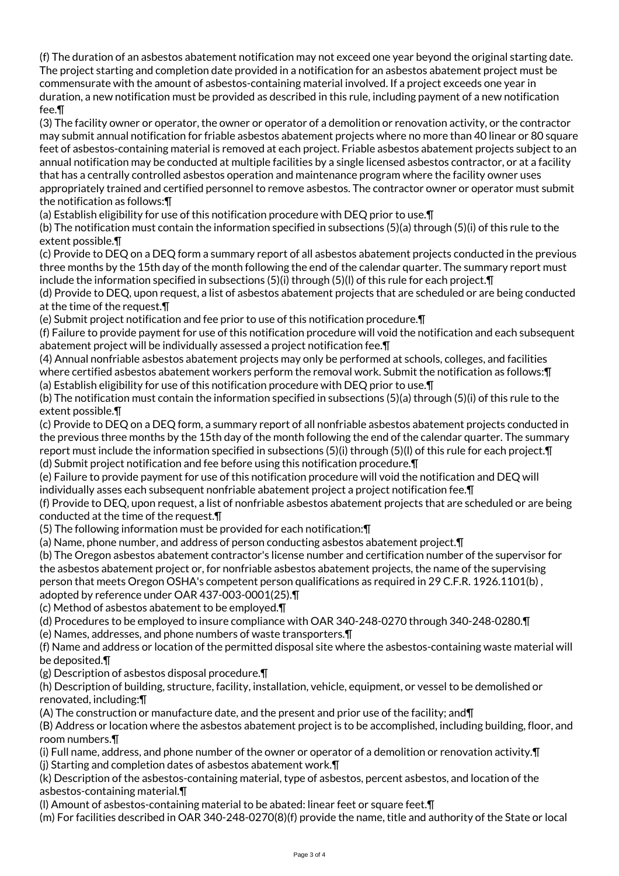(f) The duration of an asbestos abatement notification may not exceed one year beyond the original starting date. The project starting and completion date provided in a notification for an asbestos abatement project must be commensurate with the amount of asbestos-containing material involved. If a project exceeds one year in duration, a new notification must be provided as described in this rule, including payment of a new notification fee.¶

(3) The facility owner or operator, the owner or operator of a demolition or renovation activity, or the contractor may submit annual notification for friable asbestos abatement projects where no more than 40 linear or 80 square feet of asbestos-containing material is removed at each project. Friable asbestos abatement projects subject to an annual notification may be conducted at multiple facilities by a single licensed asbestos contractor, or at a facility that has a centrally controlled asbestos operation and maintenance program where the facility owner uses appropriately trained and certified personnel to remove asbestos. The contractor owner or operator must submit the notification as follows:¶

(a) Establish eligibility for use of this notification procedure with DEQ prior to use.¶

(b) The notification must contain the information specified in subsections (5)(a) through (5)(i) of this rule to the extent possible.¶

(c) Provide to DEQ on a DEQ form a summary report of all asbestos abatement projects conducted in the previous three months by the 15th day of the month following the end of the calendar quarter. The summary report must include the information specified in subsections (5)(i) through (5)(l) of this rule for each project.¶

(d) Provide to DEQ, upon request, a list of asbestos abatement projects that are scheduled or are being conducted at the time of the request.¶

(e) Submit project notification and fee prior to use of this notification procedure.¶

(f) Failure to provide payment for use of this notification procedure will void the notification and each subsequent abatement project will be individually assessed a project notification fee.¶

(4) Annual nonfriable asbestos abatement projects may only be performed at schools, colleges, and facilities where certified asbestos abatement workers perform the removal work. Submit the notification as follows:¶ (a) Establish eligibility for use of this notification procedure with DEQ prior to use.¶

(b) The notification must contain the information specified in subsections (5)(a) through (5)(i) of this rule to the extent possible.¶

(c) Provide to DEQ on a DEQ form, a summary report of all nonfriable asbestos abatement projects conducted in the previous three months by the 15th day of the month following the end of the calendar quarter. The summary report must include the information specified in subsections (5)(i) through (5)(l) of this rule for each project.  $\P$ (d) Submit project notification and fee before using this notification procedure.¶

(e) Failure to provide payment for use of this notification procedure will void the notification and DEQ will

individually asses each subsequent nonfriable abatement project a project notification fee.¶

(f) Provide to DEQ, upon request, a list of nonfriable asbestos abatement projects that are scheduled or are being conducted at the time of the request.¶

(5) The following information must be provided for each notification:¶

(a) Name, phone number, and address of person conducting asbestos abatement project.¶

(b) The Oregon asbestos abatement contractor's license number and certification number of the supervisor for the asbestos abatement project or, for nonfriable asbestos abatement projects, the name of the supervising person that meets Oregon OSHA's competent person qualifications as required in 29 C.F.R. 1926.1101(b) , adopted by reference under OAR 437-003-0001(25).¶

(c) Method of asbestos abatement to be employed.¶

(d) Procedures to be employed to insure compliance with OAR 340-248-0270 through 340-248-0280.¶

(e) Names, addresses, and phone numbers of waste transporters.¶

(f) Name and address or location of the permitted disposal site where the asbestos-containing waste material will be deposited.¶

(g) Description of asbestos disposal procedure.¶

(h) Description of building, structure, facility, installation, vehicle, equipment, or vessel to be demolished or renovated, including:¶

(A) The construction or manufacture date, and the present and prior use of the facility; and¶

(B) Address or location where the asbestos abatement project is to be accomplished, including building, floor, and room numbers.¶

(i) Full name, address, and phone number of the owner or operator of a demolition or renovation activity. $\P$ (j) Starting and completion dates of asbestos abatement work.¶

(k) Description of the asbestos-containing material, type of asbestos, percent asbestos, and location of the asbestos-containing material.¶

(l) Amount of asbestos-containing material to be abated: linear feet or square feet.¶

(m) For facilities described in OAR 340-248-0270(8)(f) provide the name, title and authority of the State or local